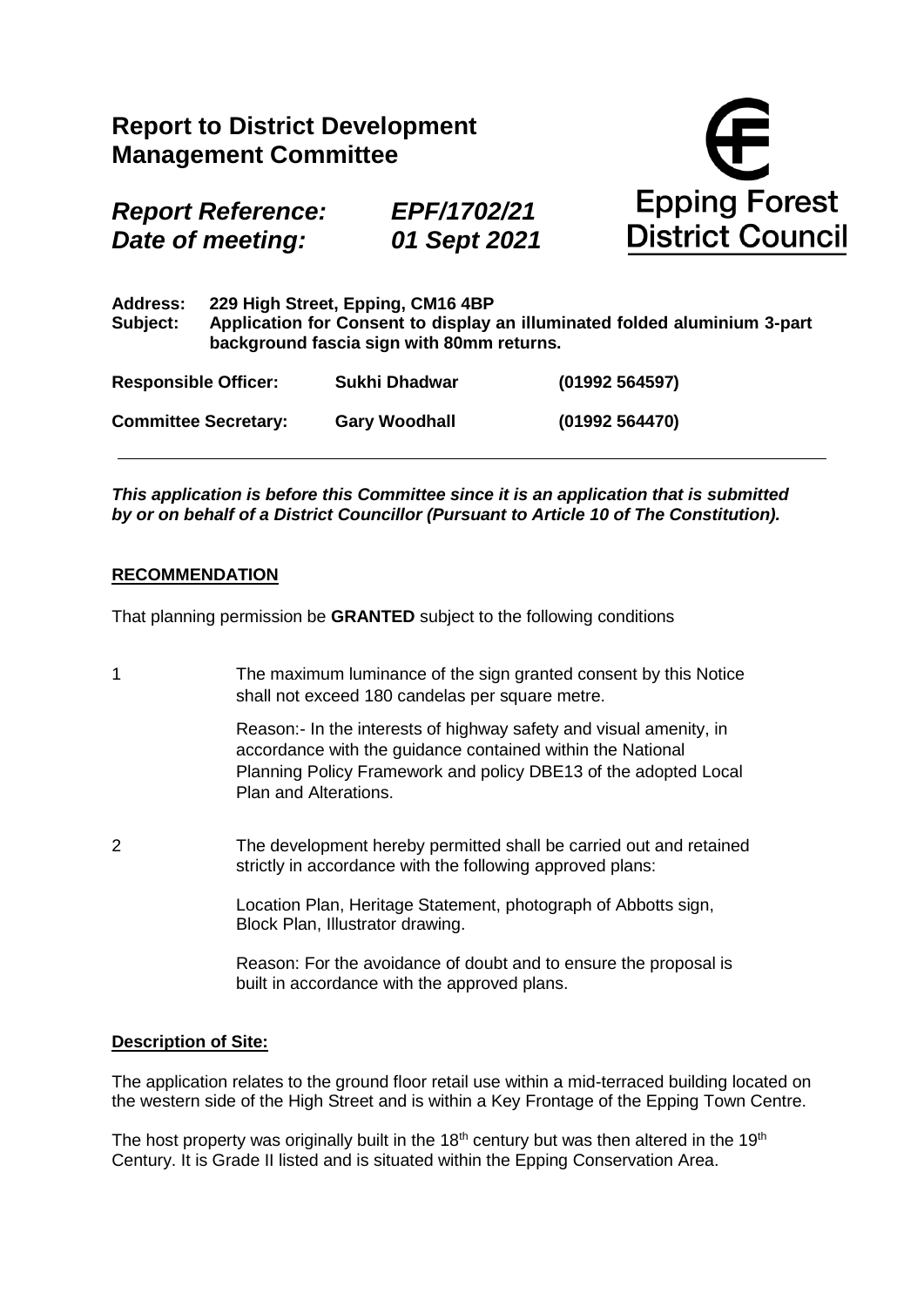|                                              | <b>Report to District Development</b><br><b>Management Committee</b>                                                                                        |                             | <b>Epping Forest</b><br><b>District Council</b> |                |  |  |
|----------------------------------------------|-------------------------------------------------------------------------------------------------------------------------------------------------------------|-----------------------------|-------------------------------------------------|----------------|--|--|
| <b>Report Reference:</b><br>Date of meeting: |                                                                                                                                                             | EPF/1702/21<br>01 Sept 2021 |                                                 |                |  |  |
| <b>Address:</b><br>Subject:                  | 229 High Street, Epping, CM16 4BP<br>Application for Consent to display an illuminated folded aluminium 3-part<br>background fascia sign with 80mm returns. |                             |                                                 |                |  |  |
| <b>Responsible Officer:</b>                  |                                                                                                                                                             | Sukhi Dhadwar               |                                                 | (01992 564597) |  |  |
| <b>Committee Secretary:</b>                  |                                                                                                                                                             | <b>Gary Woodhall</b>        |                                                 | (01992 564470) |  |  |

*This application is before this Committee since it is an application that is submitted by or on behalf of a District Councillor (Pursuant to Article 10 of The Constitution).*

### **RECOMMENDATION**

That planning permission be **GRANTED** subject to the following conditions

1 The maximum luminance of the sign granted consent by this Notice shall not exceed 180 candelas per square metre.

> Reason:- In the interests of highway safety and visual amenity, in accordance with the guidance contained within the National Planning Policy Framework and policy DBE13 of the adopted Local Plan and Alterations.

2 The development hereby permitted shall be carried out and retained strictly in accordance with the following approved plans:

> Location Plan, Heritage Statement, photograph of Abbotts sign, Block Plan, Illustrator drawing.

Reason: For the avoidance of doubt and to ensure the proposal is built in accordance with the approved plans.

#### **Description of Site:**

The application relates to the ground floor retail use within a mid-terraced building located on the western side of the High Street and is within a Key Frontage of the Epping Town Centre.

The host property was originally built in the  $18<sup>th</sup>$  century but was then altered in the  $19<sup>th</sup>$ Century. It is Grade II listed and is situated within the Epping Conservation Area.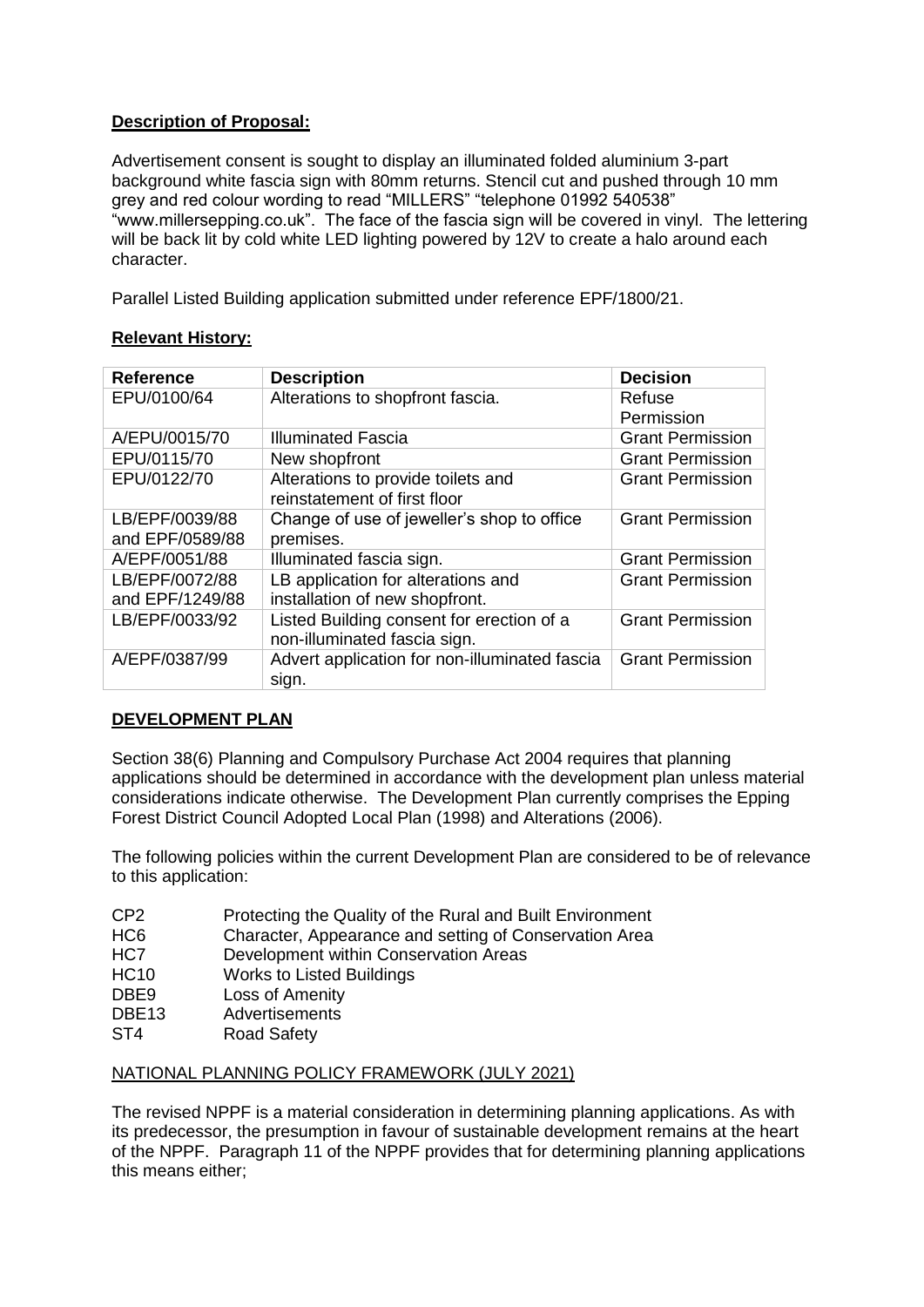# **Description of Proposal:**

Advertisement consent is sought to display an illuminated folded aluminium 3-part background white fascia sign with 80mm returns. Stencil cut and pushed through 10 mm grey and red colour wording to read "MILLERS" "telephone 01992 540538" "www.millersepping.co.uk". The face of the fascia sign will be covered in vinyl. The lettering will be back lit by cold white LED lighting powered by 12V to create a halo around each character.

Parallel Listed Building application submitted under reference EPF/1800/21.

# **Relevant History:**

| <b>Reference</b> | <b>Description</b>                            | <b>Decision</b>         |
|------------------|-----------------------------------------------|-------------------------|
| EPU/0100/64      | Alterations to shopfront fascia.              | Refuse                  |
|                  |                                               | Permission              |
| A/EPU/0015/70    | <b>Illuminated Fascia</b>                     | <b>Grant Permission</b> |
| EPU/0115/70      | New shopfront                                 | <b>Grant Permission</b> |
| EPU/0122/70      | Alterations to provide toilets and            | <b>Grant Permission</b> |
|                  | reinstatement of first floor                  |                         |
| LB/EPF/0039/88   | Change of use of jeweller's shop to office    | <b>Grant Permission</b> |
| and EPF/0589/88  | premises.                                     |                         |
| A/EPF/0051/88    | Illuminated fascia sign.                      | <b>Grant Permission</b> |
| LB/EPF/0072/88   | LB application for alterations and            | <b>Grant Permission</b> |
| and EPF/1249/88  | installation of new shopfront.                |                         |
| LB/EPF/0033/92   | Listed Building consent for erection of a     | <b>Grant Permission</b> |
|                  | non-illuminated fascia sign.                  |                         |
| A/EPF/0387/99    | Advert application for non-illuminated fascia | <b>Grant Permission</b> |
|                  | sign.                                         |                         |

# **DEVELOPMENT PLAN**

Section 38(6) Planning and Compulsory Purchase Act 2004 requires that planning applications should be determined in accordance with the development plan unless material considerations indicate otherwise. The Development Plan currently comprises the Epping Forest District Council Adopted Local Plan (1998) and Alterations (2006).

The following policies within the current Development Plan are considered to be of relevance to this application:

| CP <sub>2</sub>   | Protecting the Quality of the Rural and Built Environment |
|-------------------|-----------------------------------------------------------|
| HC <sub>6</sub>   | Character, Appearance and setting of Conservation Area    |
| HC7               | Development within Conservation Areas                     |
| <b>HC10</b>       | <b>Works to Listed Buildings</b>                          |
| DBE <sub>9</sub>  | Loss of Amenity                                           |
| DBE <sub>13</sub> | Advertisements                                            |
| ST <sub>4</sub>   | <b>Road Safety</b>                                        |
|                   |                                                           |

## NATIONAL PLANNING POLICY FRAMEWORK (JULY 2021)

The revised NPPF is a material consideration in determining planning applications. As with its predecessor, the presumption in favour of sustainable development remains at the heart of the NPPF. Paragraph 11 of the NPPF provides that for determining planning applications this means either;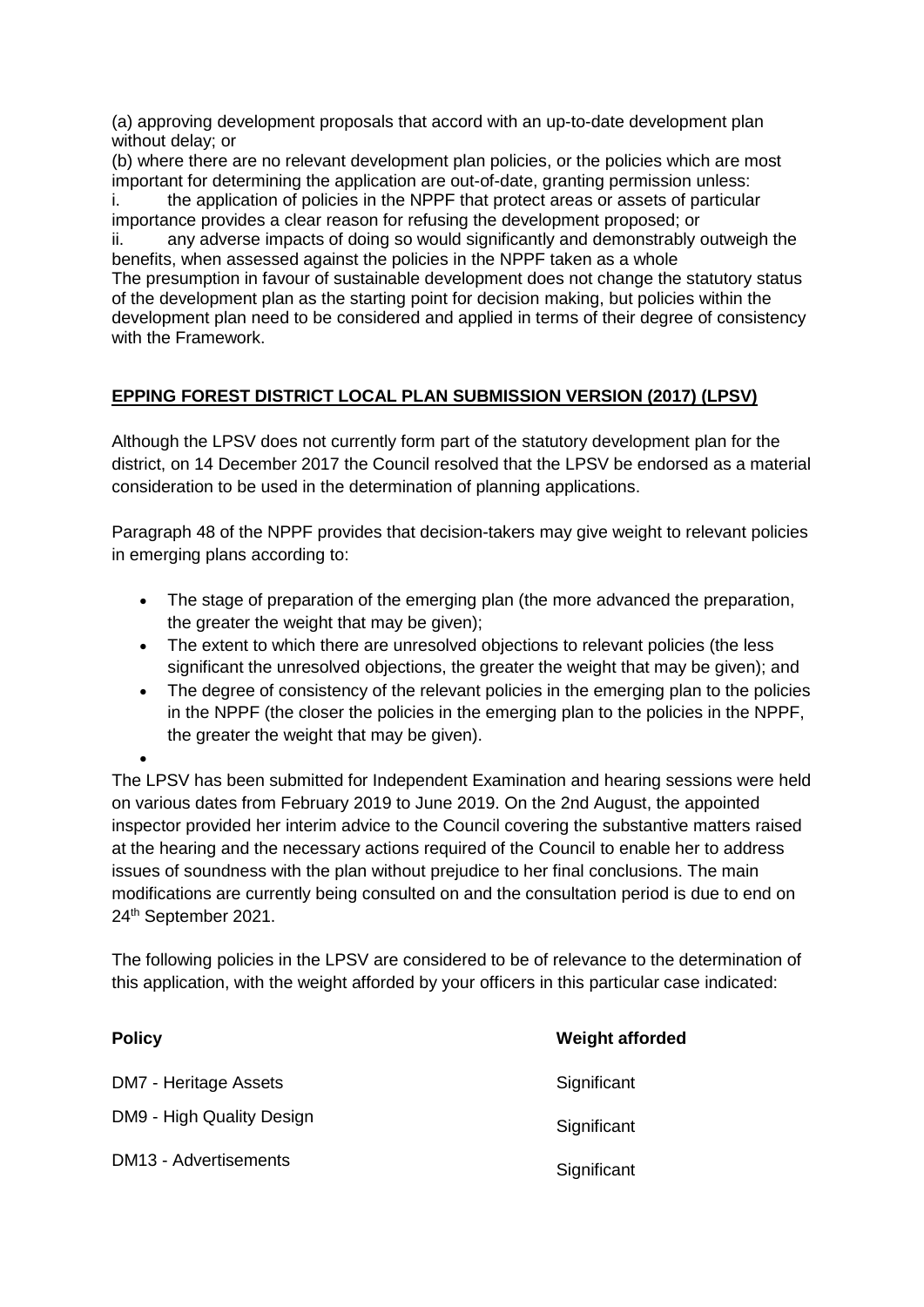(a) approving development proposals that accord with an up-to-date development plan without delay; or

(b) where there are no relevant development plan policies, or the policies which are most important for determining the application are out-of-date, granting permission unless:

i. the application of policies in the NPPF that protect areas or assets of particular importance provides a clear reason for refusing the development proposed; or

ii. any adverse impacts of doing so would significantly and demonstrably outweigh the benefits, when assessed against the policies in the NPPF taken as a whole The presumption in favour of sustainable development does not change the statutory status of the development plan as the starting point for decision making, but policies within the development plan need to be considered and applied in terms of their degree of consistency with the Framework.

# **EPPING FOREST DISTRICT LOCAL PLAN SUBMISSION VERSION (2017) (LPSV)**

Although the LPSV does not currently form part of the statutory development plan for the district, on 14 December 2017 the Council resolved that the LPSV be endorsed as a material consideration to be used in the determination of planning applications.

Paragraph 48 of the NPPF provides that decision-takers may give weight to relevant policies in emerging plans according to:

- The stage of preparation of the emerging plan (the more advanced the preparation, the greater the weight that may be given);
- The extent to which there are unresolved objections to relevant policies (the less significant the unresolved objections, the greater the weight that may be given); and
- The degree of consistency of the relevant policies in the emerging plan to the policies in the NPPF (the closer the policies in the emerging plan to the policies in the NPPF, the greater the weight that may be given).

The LPSV has been submitted for Independent Examination and hearing sessions were held on various dates from February 2019 to June 2019. On the 2nd August, the appointed inspector provided her interim advice to the Council covering the substantive matters raised at the hearing and the necessary actions required of the Council to enable her to address issues of soundness with the plan without prejudice to her final conclusions. The main modifications are currently being consulted on and the consultation period is due to end on 24th September 2021.

The following policies in the LPSV are considered to be of relevance to the determination of this application, with the weight afforded by your officers in this particular case indicated:

| <b>Policy</b>                | <b>Weight afforded</b> |
|------------------------------|------------------------|
| DM7 - Heritage Assets        | Significant            |
| DM9 - High Quality Design    | Significant            |
| <b>DM13 - Advertisements</b> | Significant            |

 $\bullet$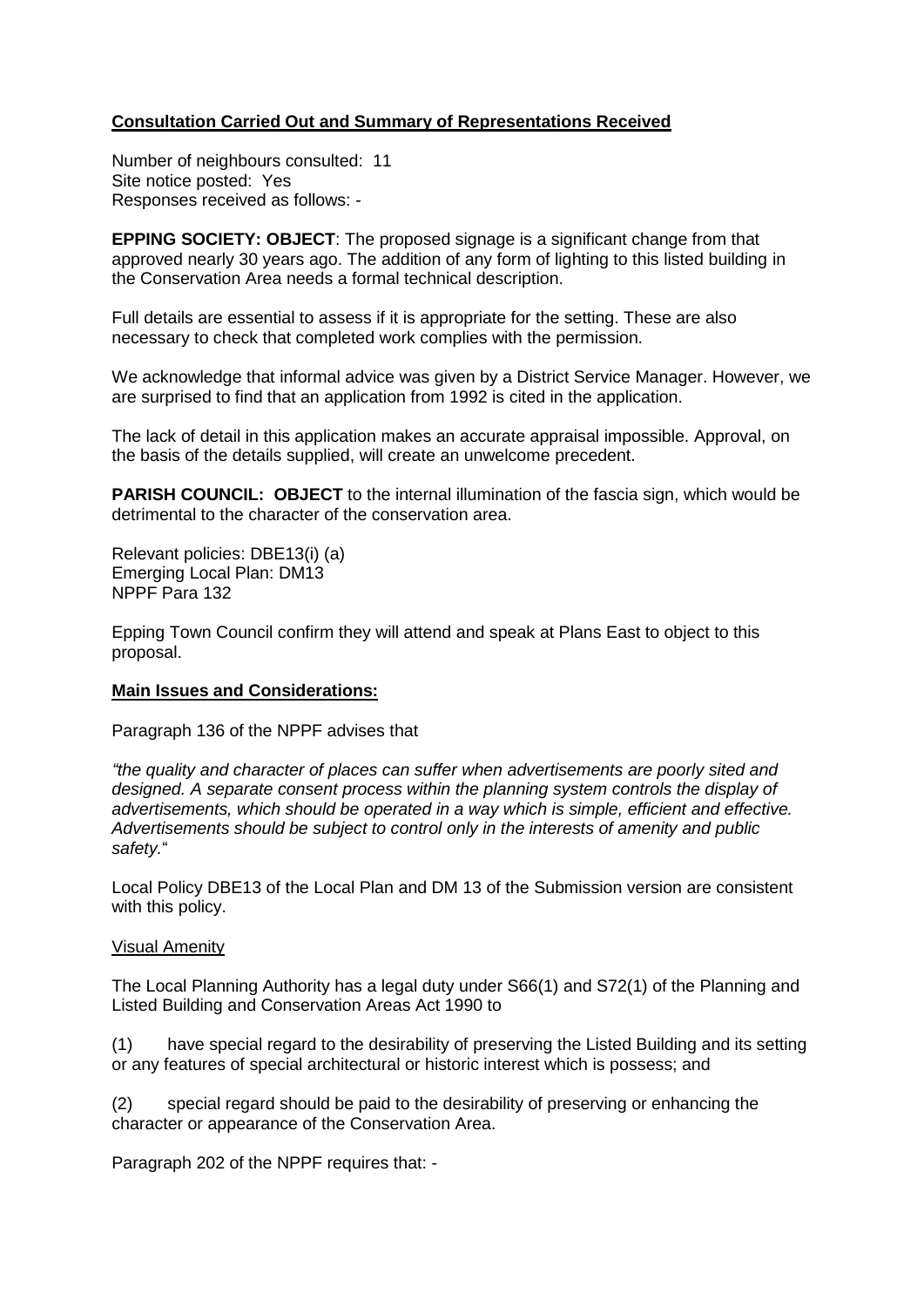# **Consultation Carried Out and Summary of Representations Received**

Number of neighbours consulted: 11 Site notice posted: Yes Responses received as follows: -

**EPPING SOCIETY: OBJECT**: The proposed signage is a significant change from that approved nearly 30 years ago. The addition of any form of lighting to this listed building in the Conservation Area needs a formal technical description.

Full details are essential to assess if it is appropriate for the setting. These are also necessary to check that completed work complies with the permission.

We acknowledge that informal advice was given by a District Service Manager. However, we are surprised to find that an application from 1992 is cited in the application.

The lack of detail in this application makes an accurate appraisal impossible. Approval, on the basis of the details supplied, will create an unwelcome precedent.

**PARISH COUNCIL: OBJECT** to the internal illumination of the fascia sign, which would be detrimental to the character of the conservation area.

Relevant policies: DBE13(i) (a) Emerging Local Plan: DM13 NPPF Para 132

Epping Town Council confirm they will attend and speak at Plans East to object to this proposal.

## **Main Issues and Considerations:**

Paragraph 136 of the NPPF advises that

*"the quality and character of places can suffer when advertisements are poorly sited and designed. A separate consent process within the planning system controls the display of advertisements, which should be operated in a way which is simple, efficient and effective. Advertisements should be subject to control only in the interests of amenity and public safety.*"

Local Policy DBE13 of the Local Plan and DM 13 of the Submission version are consistent with this policy.

#### Visual Amenity

The Local Planning Authority has a legal duty under S66(1) and S72(1) of the Planning and Listed Building and Conservation Areas Act 1990 to

(1) have special regard to the desirability of preserving the Listed Building and its setting or any features of special architectural or historic interest which is possess; and

(2) special regard should be paid to the desirability of preserving or enhancing the character or appearance of the Conservation Area.

Paragraph 202 of the NPPF requires that: -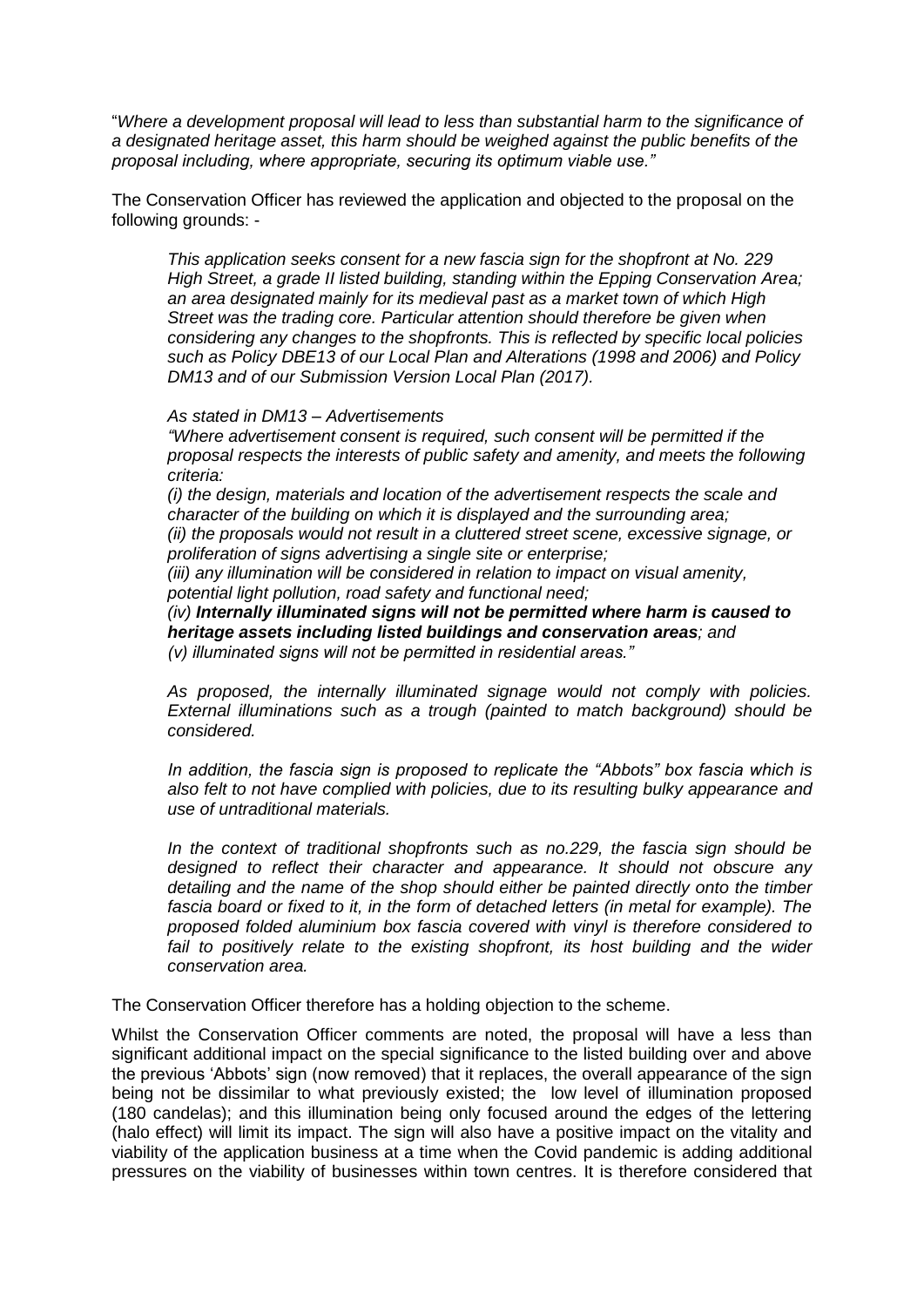"*Where a development proposal will lead to less than substantial harm to the significance of a designated heritage asset, this harm should be weighed against the public benefits of the proposal including, where appropriate, securing its optimum viable use."*

The Conservation Officer has reviewed the application and objected to the proposal on the following grounds: -

*This application seeks consent for a new fascia sign for the shopfront at No. 229 High Street, a grade II listed building, standing within the Epping Conservation Area; an area designated mainly for its medieval past as a market town of which High Street was the trading core. Particular attention should therefore be given when considering any changes to the shopfronts. This is reflected by specific local policies such as Policy DBE13 of our Local Plan and Alterations (1998 and 2006) and Policy DM13 and of our Submission Version Local Plan (2017).*

#### *As stated in DM13 – Advertisements*

*"Where advertisement consent is required, such consent will be permitted if the proposal respects the interests of public safety and amenity, and meets the following criteria:*

*(i) the design, materials and location of the advertisement respects the scale and character of the building on which it is displayed and the surrounding area; (ii) the proposals would not result in a cluttered street scene, excessive signage, or proliferation of signs advertising a single site or enterprise;*

*(iii) any illumination will be considered in relation to impact on visual amenity, potential light pollution, road safety and functional need;*

*(iv) Internally illuminated signs will not be permitted where harm is caused to heritage assets including listed buildings and conservation areas; and (v) illuminated signs will not be permitted in residential areas."*

*As proposed, the internally illuminated signage would not comply with policies. External illuminations such as a trough (painted to match background) should be considered.* 

*In addition, the fascia sign is proposed to replicate the "Abbots" box fascia which is also felt to not have complied with policies, due to its resulting bulky appearance and use of untraditional materials.* 

*In the context of traditional shopfronts such as no.229, the fascia sign should be designed to reflect their character and appearance. It should not obscure any detailing and the name of the shop should either be painted directly onto the timber fascia board or fixed to it, in the form of detached letters (in metal for example). The proposed folded aluminium box fascia covered with vinyl is therefore considered to fail to positively relate to the existing shopfront, its host building and the wider conservation area.* 

The Conservation Officer therefore has a holding objection to the scheme.

Whilst the Conservation Officer comments are noted, the proposal will have a less than significant additional impact on the special significance to the listed building over and above the previous 'Abbots' sign (now removed) that it replaces, the overall appearance of the sign being not be dissimilar to what previously existed; the low level of illumination proposed (180 candelas); and this illumination being only focused around the edges of the lettering (halo effect) will limit its impact. The sign will also have a positive impact on the vitality and viability of the application business at a time when the Covid pandemic is adding additional pressures on the viability of businesses within town centres. It is therefore considered that